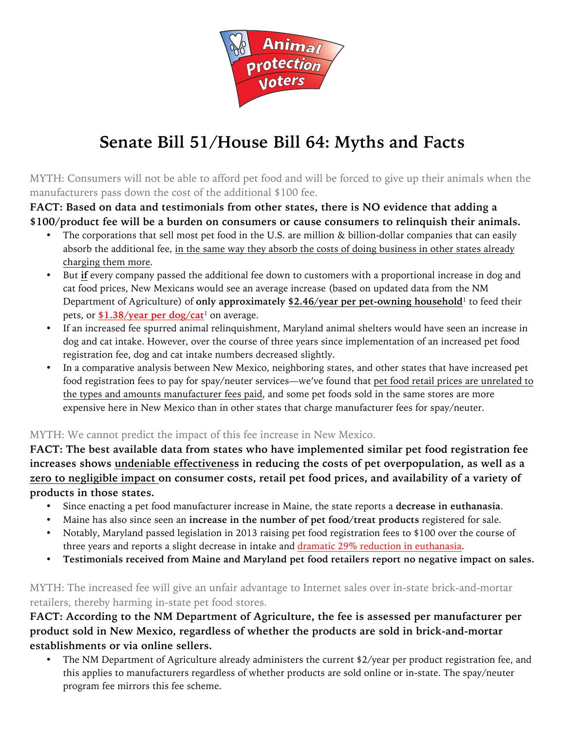

## **Senate Bill 51/House Bill 64: Myths and Facts**

MYTH: Consumers will not be able to afford pet food and will be forced to give up their animals when the manufacturers pass down the cost of the additional \$100 fee.

**FACT: Based on data and testimonials from other states, there is NO evidence that adding a \$100/product fee will be a burden on consumers or cause consumers to relinquish their animals.**

- The corporations that sell most pet food in the U.S. are million & billion-dollar companies that can easily absorb the additional fee, in the same way they absorb the costs of doing business in other states already charging them more.
- But **if** every company passed the additional fee down to customers with a proportional increase in dog and cat food prices, New Mexicans would see an average increase (based on updated data from the NM Department of Agriculture) of **only approximately \$2.46/year per pet-owning household**<sup>1</sup> to feed their pets, or \$1.38/year per dog/cat<sup>1</sup> on average.
- If an increased fee spurred animal relinquishment, Maryland animal shelters would have seen an increase in dog and cat intake. However, over the course of three years since implementation of an increased pet food registration fee, dog and cat intake numbers decreased slightly.
- In a comparative analysis between New Mexico, neighboring states, and other states that have increased pet food registration fees to pay for spay/neuter services—we've found that pet food retail prices are unrelated to the types and amounts manufacturer fees paid, and some pet foods sold in the same stores are more expensive here in New Mexico than in other states that charge manufacturer fees for spay/neuter.

## MYTH: We cannot predict the impact of this fee increase in New Mexico.

**FACT: The best available data from states who have implemented similar pet food registration fee increases shows undeniable effectiveness in reducing the costs of pet overpopulation, as well as a zero to negligible impact on consumer costs, retail pet food prices, and availability of a variety of products in those states.**

- Since enacting a pet food manufacturer increase in Maine, the state reports a **decrease in euthanasia**.
- Maine has also since seen an **increase in the number of pet food/treat products** registered for sale.
- Notably, Maryland passed legislation in 2013 raising pet food registration fees to \$100 over the course of three years and reports a slight decrease in intake and dramatic 29% reduction in euthanasia.
- **Testimonials received from Maine and Maryland pet food retailers report no negative impact on sales.**

MYTH: The increased fee will give an unfair advantage to Internet sales over in-state brick-and-mortar retailers, thereby harming in-state pet food stores.

**FACT: According to the NM Department of Agriculture, the fee is assessed per manufacturer per product sold in New Mexico, regardless of whether the products are sold in brick-and-mortar establishments or via online sellers.**

• The NM Department of Agriculture already administers the current \$2/year per product registration fee, and this applies to manufacturers regardless of whether products are sold online or in-state. The spay/neuter program fee mirrors this fee scheme.